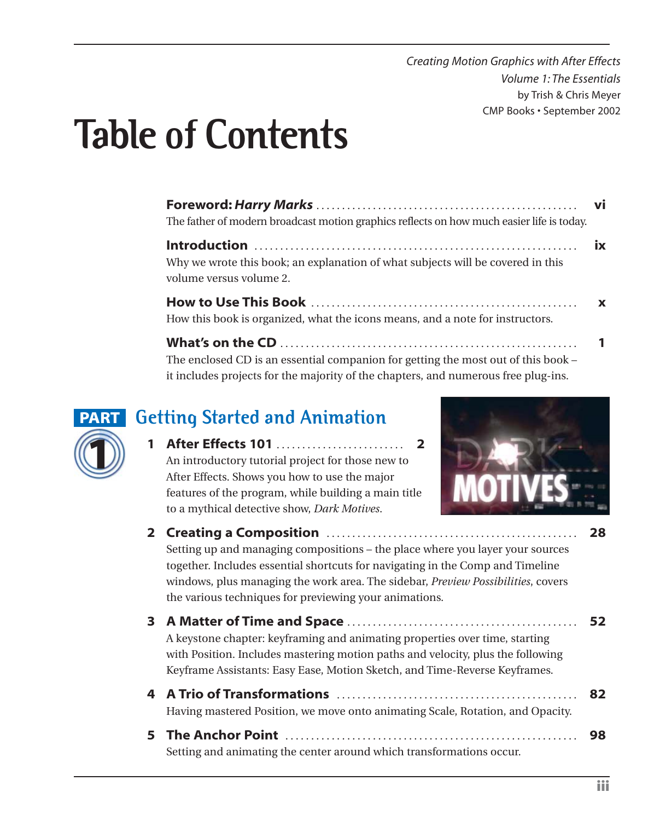*Creating Motion Graphics with After Effects Volume 1: The Essentials* by Trish & Chris Meyer CMP Books • September 2002

# **Table of Contents**

| The father of modern broadcast motion graphics reflects on how much easier life is today.                                                                               |    |
|-------------------------------------------------------------------------------------------------------------------------------------------------------------------------|----|
| Why we wrote this book; an explanation of what subjects will be covered in this<br>volume versus volume 2.                                                              | ix |
| How this book is organized, what the icons means, and a note for instructors.                                                                                           |    |
| The enclosed CD is an essential companion for getting the most out of this book –<br>it includes projects for the majority of the chapters, and numerous free plug-ins. |    |



## **Getting Started and Animation**

**1 After Effects 101** . . . . . . . . . . . . . . . . . . . . . . . . . **2** An introductory tutorial project for those new to After Effects. Shows you how to use the major features of the program, while building a main title to a mythical detective show, *Dark Motives*.



#### **2 Creating a Composition** . . . . . . . . . . . . . . . . . . . . . . . . . . . . . . . . . . . . . . . . . . . . . . . . . **28**

Setting up and managing compositions – the place where you layer your sources together. Includes essential shortcuts for navigating in the Comp and Timeline windows, plus managing the work area. The sidebar, *Preview Possibilities*, covers the various techniques for previewing your animations.

- **3 A Matter of Time and Space** . . . . . . . . . . . . . . . . . . . . . . . . . . . . . . . . . . . . . . . . . . . . . **52** A keystone chapter: keyframing and animating properties over time, starting with Position. Includes mastering motion paths and velocity, plus the following Keyframe Assistants: Easy Ease, Motion Sketch, and Time-Reverse Keyframes.
- **4 A Trio of Transformations** . . . . . . . . . . . . . . . . . . . . . . . . . . . . . . . . . . . . . . . . . . . . . . . **82** Having mastered Position, we move onto animating Scale, Rotation, and Opacity.
- **5 The Anchor Point** . . . . . . . . . . . . . . . . . . . . . . . . . . . . . . . . . . . . . . . . . . . . . . . . . . . . . . . . . **98** Setting and animating the center around which transformations occur.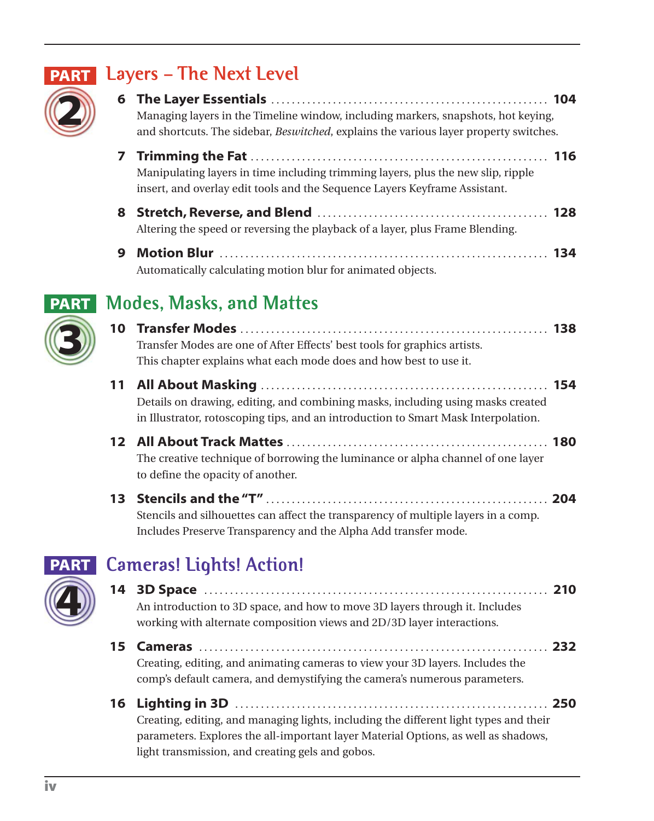

# **Layers – The Next Level PART**

|   | Managing layers in the Timeline window, including markers, snapshots, hot keying,<br>and shortcuts. The sidebar, <i>Beswitched</i> , explains the various layer property switches. |  |
|---|------------------------------------------------------------------------------------------------------------------------------------------------------------------------------------|--|
| 7 |                                                                                                                                                                                    |  |
|   | Manipulating layers in time including trimming layers, plus the new slip, ripple<br>insert, and overlay edit tools and the Sequence Layers Keyframe Assistant.                     |  |
|   | Altering the speed or reversing the playback of a layer, plus Frame Blending.                                                                                                      |  |

**9 Motion Blur** . . . . . . . . . . . . . . . . . . . . . . . . . . . . . . . . . . . . . . . . . . . . . . . . . . . . . . . . . . . . . . . . **134** Automatically calculating motion blur for animated objects.

## **Modes, Masks, and Mattes**



## **10 Transfer Modes** . . . . . . . . . . . . . . . . . . . . . . . . . . . . . . . . . . . . . . . . . . . . . . . . . . . . . . . . . . . . **138** Transfer Modes are one of After Effects' best tools for graphics artists. This chapter explains what each mode does and how best to use it.

- **11 All About Masking** . . . . . . . . . . . . . . . . . . . . . . . . . . . . . . . . . . . . . . . . . . . . . . . . . . . . . . . . **154** Details on drawing, editing, and combining masks, including using masks created in Illustrator, rotoscoping tips, and an introduction to Smart Mask Interpolation.
- **12 All About Track Mattes** . . . . . . . . . . . . . . . . . . . . . . . . . . . . . . . . . . . . . . . . . . . . . . . . . . . **180** The creative technique of borrowing the luminance or alpha channel of one layer to define the opacity of another.
- **13 Stencils and the "T"** . . . . . . . . . . . . . . . . . . . . . . . . . . . . . . . . . . . . . . . . . . . . . . . . . . . . . . . **204** Stencils and silhouettes can affect the transparency of multiple layers in a comp. Includes Preserve Transparency and the Alpha Add transfer mode.



# **Cameras! Lights! Action!**

- **14 3D Space** . . . . . . . . . . . . . . . . . . . . . . . . . . . . . . . . . . . . . . . . . . . . . . . . . . . . . . . . . . . . . . . . . . . **210** An introduction to 3D space, and how to move 3D layers through it. Includes working with alternate composition views and 2D/3D layer interactions.
- **15 Cameras** . . . . . . . . . . . . . . . . . . . . . . . . . . . . . . . . . . . . . . . . . . . . . . . . . . . . . . . . . . . . . . . . . . . . **232** Creating, editing, and animating cameras to view your 3D layers. Includes the comp's default camera, and demystifying the camera's numerous parameters.

## **16 Lighting in 3D** . . . . . . . . . . . . . . . . . . . . . . . . . . . . . . . . . . . . . . . . . . . . . . . . . . . . . . . . . . . . . **250**

Creating, editing, and managing lights, including the different light types and their parameters. Explores the all-important layer Material Options, as well as shadows, light transmission, and creating gels and gobos.